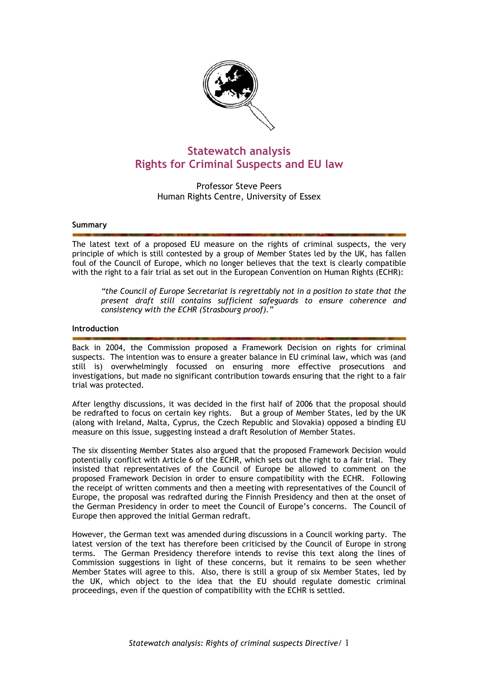

# **Statewatch analysis Rights for Criminal Suspects and EU law**

Professor Steve Peers Human Rights Centre, University of Essex

### **Summary**

The latest text of a proposed EU measure on the rights of criminal suspects, the very principle of which is still contested by a group of Member States led by the UK, has fallen foul of the Council of Europe, which no longer believes that the text is clearly compatible with the right to a fair trial as set out in the European Convention on Human Rights (ECHR):

*"the Council of Europe Secretariat is regrettably not in a position to state that the present draft still contains sufficient safeguards to ensure coherence and consistency with the ECHR (Strasbourg proof)."* 

#### **Introduction**

Back in 2004, the Commission proposed a Framework Decision on rights for criminal suspects. The intention was to ensure a greater balance in EU criminal law, which was (and still is) overwhelmingly focussed on ensuring more effective prosecutions and investigations, but made no significant contribution towards ensuring that the right to a fair trial was protected.

After lengthy discussions, it was decided in the first half of 2006 that the proposal should be redrafted to focus on certain key rights. But a group of Member States, led by the UK (along with Ireland, Malta, Cyprus, the Czech Republic and Slovakia) opposed a binding EU measure on this issue, suggesting instead a draft Resolution of Member States.

The six dissenting Member States also argued that the proposed Framework Decision would potentially conflict with Article 6 of the ECHR, which sets out the right to a fair trial. They insisted that representatives of the Council of Europe be allowed to comment on the proposed Framework Decision in order to ensure compatibility with the ECHR. Following the receipt of written comments and then a meeting with representatives of the Council of Europe, the proposal was redrafted during the Finnish Presidency and then at the onset of the German Presidency in order to meet the Council of Europe's concerns. The Council of Europe then approved the initial German redraft.

However, the German text was amended during discussions in a Council working party. The latest version of the text has therefore been criticised by the Council of Europe in strong terms. The German Presidency therefore intends to revise this text along the lines of Commission suggestions in light of these concerns, but it remains to be seen whether Member States will agree to this. Also, there is still a group of six Member States, led by the UK, which object to the idea that the EU should regulate domestic criminal proceedings, even if the question of compatibility with the ECHR is settled.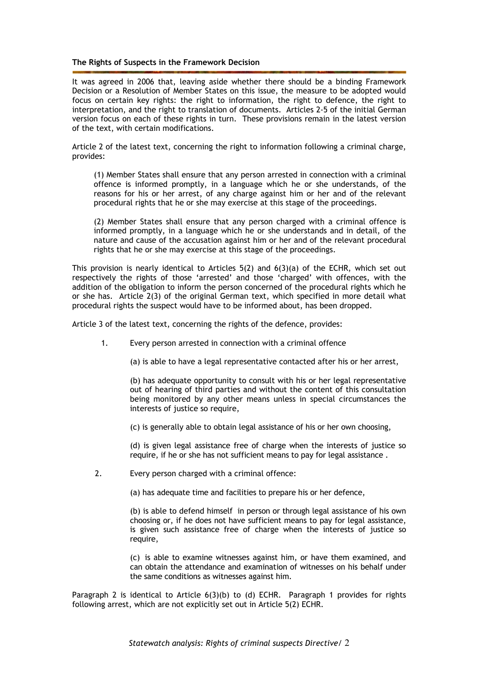# **The Rights of Suspects in the Framework Decision**

It was agreed in 2006 that, leaving aside whether there should be a binding Framework Decision or a Resolution of Member States on this issue, the measure to be adopted would focus on certain key rights: the right to information, the right to defence, the right to interpretation, and the right to translation of documents. Articles 2-5 of the initial German version focus on each of these rights in turn. These provisions remain in the latest version of the text, with certain modifications.

Article 2 of the latest text, concerning the right to information following a criminal charge, provides:

(1) Member States shall ensure that any person arrested in connection with a criminal offence is informed promptly, in a language which he or she understands, of the reasons for his or her arrest, of any charge against him or her and of the relevant procedural rights that he or she may exercise at this stage of the proceedings.

(2) Member States shall ensure that any person charged with a criminal offence is informed promptly, in a language which he or she understands and in detail, of the nature and cause of the accusation against him or her and of the relevant procedural rights that he or she may exercise at this stage of the proceedings.

This provision is nearly identical to Articles  $5(2)$  and  $6(3)(a)$  of the ECHR, which set out respectively the rights of those 'arrested' and those 'charged' with offences, with the addition of the obligation to inform the person concerned of the procedural rights which he or she has. Article 2(3) of the original German text, which specified in more detail what procedural rights the suspect would have to be informed about, has been dropped.

Article 3 of the latest text, concerning the rights of the defence, provides:

- 1. Every person arrested in connection with a criminal offence
	- (a) is able to have a legal representative contacted after his or her arrest,

 (b) has adequate opportunity to consult with his or her legal representative out of hearing of third parties and without the content of this consultation being monitored by any other means unless in special circumstances the interests of justice so require,

(c) is generally able to obtain legal assistance of his or her own choosing,

 (d) is given legal assistance free of charge when the interests of justice so require, if he or she has not sufficient means to pay for legal assistance .

2. Every person charged with a criminal offence:

(a) has adequate time and facilities to prepare his or her defence,

(b) is able to defend himself in person or through legal assistance of his own choosing or, if he does not have sufficient means to pay for legal assistance, is given such assistance free of charge when the interests of justice so require,

(c) is able to examine witnesses against him, or have them examined, and can obtain the attendance and examination of witnesses on his behalf under the same conditions as witnesses against him.

Paragraph 2 is identical to Article 6(3)(b) to (d) ECHR. Paragraph 1 provides for rights following arrest, which are not explicitly set out in Article 5(2) ECHR.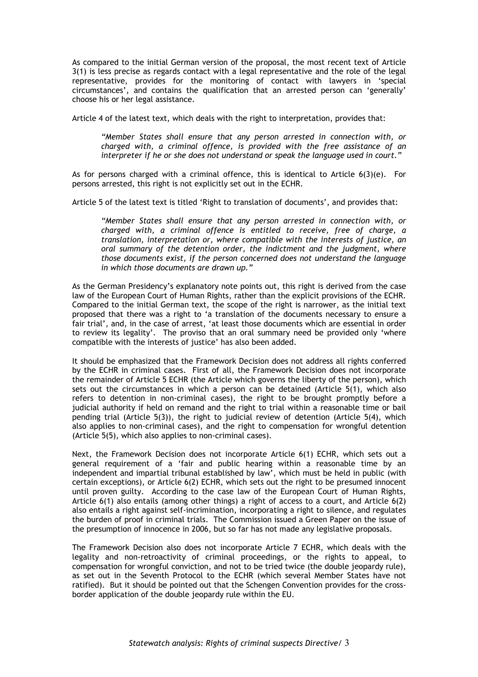As compared to the initial German version of the proposal, the most recent text of Article 3(1) is less precise as regards contact with a legal representative and the role of the legal representative, provides for the monitoring of contact with lawyers in 'special circumstances', and contains the qualification that an arrested person can 'generally' choose his or her legal assistance.

Article 4 of the latest text, which deals with the right to interpretation, provides that:

*"Member States shall ensure that any person arrested in connection with, or charged with, a criminal offence, is provided with the free assistance of an interpreter if he or she does not understand or speak the language used in court."* 

As for persons charged with a criminal offence, this is identical to Article  $6(3)(e)$ . For persons arrested, this right is not explicitly set out in the ECHR.

Article 5 of the latest text is titled 'Right to translation of documents', and provides that:

*"Member States shall ensure that any person arrested in connection with, or charged with, a criminal offence is entitled to receive, free of charge, a translation, interpretation or, where compatible with the interests of justice, an oral summary of the detention order, the indictment and the judgment, where those documents exist, if the person concerned does not understand the language in which those documents are drawn up."* 

As the German Presidency's explanatory note points out, this right is derived from the case law of the European Court of Human Rights, rather than the explicit provisions of the ECHR. Compared to the initial German text, the scope of the right is narrower, as the initial text proposed that there was a right to 'a translation of the documents necessary to ensure a fair trial', and, in the case of arrest, 'at least those documents which are essential in order to review its legality'. The proviso that an oral summary need be provided only 'where compatible with the interests of justice' has also been added.

It should be emphasized that the Framework Decision does not address all rights conferred by the ECHR in criminal cases. First of all, the Framework Decision does not incorporate the remainder of Article 5 ECHR (the Article which governs the liberty of the person), which sets out the circumstances in which a person can be detained (Article 5(1), which also refers to detention in non-criminal cases), the right to be brought promptly before a judicial authority if held on remand and the right to trial within a reasonable time or bail pending trial (Article 5(3)), the right to judicial review of detention (Article 5(4), which also applies to non-criminal cases), and the right to compensation for wrongful detention (Article 5(5), which also applies to non-criminal cases).

Next, the Framework Decision does not incorporate Article 6(1) ECHR, which sets out a general requirement of a 'fair and public hearing within a reasonable time by an independent and impartial tribunal established by law', which must be held in public (with certain exceptions), or Article 6(2) ECHR, which sets out the right to be presumed innocent until proven guilty. According to the case law of the European Court of Human Rights, Article 6(1) also entails (among other things) a right of access to a court, and Article 6(2) also entails a right against self-incrimination, incorporating a right to silence, and regulates the burden of proof in criminal trials. The Commission issued a Green Paper on the issue of the presumption of innocence in 2006, but so far has not made any legislative proposals.

The Framework Decision also does not incorporate Article 7 ECHR, which deals with the legality and non-retroactivity of criminal proceedings, or the rights to appeal, to compensation for wrongful conviction, and not to be tried twice (the double jeopardy rule), as set out in the Seventh Protocol to the ECHR (which several Member States have not ratified). But it should be pointed out that the Schengen Convention provides for the crossborder application of the double jeopardy rule within the EU.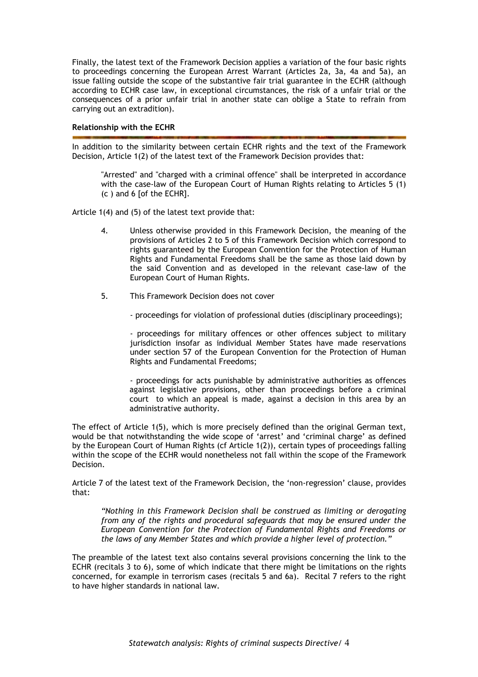Finally, the latest text of the Framework Decision applies a variation of the four basic rights to proceedings concerning the European Arrest Warrant (Articles 2a, 3a, 4a and 5a), an issue falling outside the scope of the substantive fair trial guarantee in the ECHR (although according to ECHR case law, in exceptional circumstances, the risk of a unfair trial or the consequences of a prior unfair trial in another state can oblige a State to refrain from carrying out an extradition).

# **Relationship with the ECHR**

In addition to the similarity between certain ECHR rights and the text of the Framework Decision, Article 1(2) of the latest text of the Framework Decision provides that:

"Arrested" and "charged with a criminal offence" shall be interpreted in accordance with the case-law of the European Court of Human Rights relating to Articles 5 (1) (c ) and 6 [of the ECHR].

Article 1(4) and (5) of the latest text provide that:

- 4. Unless otherwise provided in this Framework Decision, the meaning of the provisions of Articles 2 to 5 of this Framework Decision which correspond to rights guaranteed by the European Convention for the Protection of Human Rights and Fundamental Freedoms shall be the same as those laid down by the said Convention and as developed in the relevant case-law of the European Court of Human Rights.
- 5. This Framework Decision does not cover
	- proceedings for violation of professional duties (disciplinary proceedings);

- proceedings for military offences or other offences subject to military jurisdiction insofar as individual Member States have made reservations under section 57 of the European Convention for the Protection of Human Rights and Fundamental Freedoms;

- proceedings for acts punishable by administrative authorities as offences against legislative provisions, other than proceedings before a criminal court to which an appeal is made, against a decision in this area by an administrative authority.

The effect of Article 1(5), which is more precisely defined than the original German text, would be that notwithstanding the wide scope of 'arrest' and 'criminal charge' as defined by the European Court of Human Rights (cf Article 1(2)), certain types of proceedings falling within the scope of the ECHR would nonetheless not fall within the scope of the Framework Decision.

Article 7 of the latest text of the Framework Decision, the 'non-regression' clause, provides that:

*"Nothing in this Framework Decision shall be construed as limiting or derogating from any of the rights and procedural safeguards that may be ensured under the European Convention for the Protection of Fundamental Rights and Freedoms or the laws of any Member States and which provide a higher level of protection."* 

The preamble of the latest text also contains several provisions concerning the link to the ECHR (recitals 3 to 6), some of which indicate that there might be limitations on the rights concerned, for example in terrorism cases (recitals 5 and 6a). Recital 7 refers to the right to have higher standards in national law.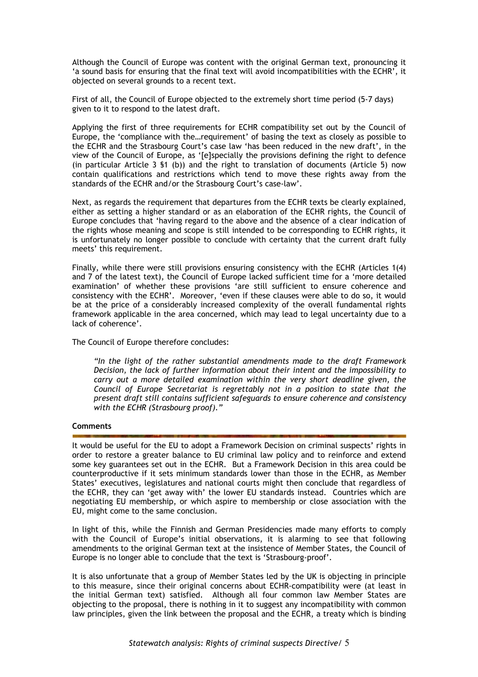Although the Council of Europe was content with the original German text, pronouncing it 'a sound basis for ensuring that the final text will avoid incompatibilities with the ECHR', it objected on several grounds to a recent text.

First of all, the Council of Europe objected to the extremely short time period (5-7 days) given to it to respond to the latest draft.

Applying the first of three requirements for ECHR compatibility set out by the Council of Europe, the 'compliance with the…requirement' of basing the text as closely as possible to the ECHR and the Strasbourg Court's case law 'has been reduced in the new draft', in the view of the Council of Europe, as '[e]specially the provisions defining the right to defence (in particular Article 3 §1 (b)) and the right to translation of documents (Article 5) now contain qualifications and restrictions which tend to move these rights away from the standards of the ECHR and/or the Strasbourg Court's case-law'.

Next, as regards the requirement that departures from the ECHR texts be clearly explained, either as setting a higher standard or as an elaboration of the ECHR rights, the Council of Europe concludes that 'having regard to the above and the absence of a clear indication of the rights whose meaning and scope is still intended to be corresponding to ECHR rights, it is unfortunately no longer possible to conclude with certainty that the current draft fully meets' this requirement.

Finally, while there were still provisions ensuring consistency with the ECHR (Articles 1(4) and 7 of the latest text), the Council of Europe lacked sufficient time for a 'more detailed examination' of whether these provisions 'are still sufficient to ensure coherence and consistency with the ECHR'. Moreover, 'even if these clauses were able to do so, it would be at the price of a considerably increased complexity of the overall fundamental rights framework applicable in the area concerned, which may lead to legal uncertainty due to a lack of coherence'.

The Council of Europe therefore concludes:

*"In the light of the rather substantial amendments made to the draft Framework Decision, the lack of further information about their intent and the impossibility to carry out a more detailed examination within the very short deadline given, the Council of Europe Secretariat is regrettably not in a position to state that the present draft still contains sufficient safeguards to ensure coherence and consistency with the ECHR (Strasbourg proof)."* 

### **Comments**

It would be useful for the EU to adopt a Framework Decision on criminal suspects' rights in order to restore a greater balance to EU criminal law policy and to reinforce and extend some key guarantees set out in the ECHR. But a Framework Decision in this area could be counterproductive if it sets minimum standards lower than those in the ECHR, as Member States' executives, legislatures and national courts might then conclude that regardless of the ECHR, they can 'get away with' the lower EU standards instead. Countries which are negotiating EU membership, or which aspire to membership or close association with the EU, might come to the same conclusion.

In light of this, while the Finnish and German Presidencies made many efforts to comply with the Council of Europe's initial observations, it is alarming to see that following amendments to the original German text at the insistence of Member States, the Council of Europe is no longer able to conclude that the text is 'Strasbourg-proof'.

It is also unfortunate that a group of Member States led by the UK is objecting in principle to this measure, since their original concerns about ECHR-compatibility were (at least in the initial German text) satisfied. Although all four common law Member States are objecting to the proposal, there is nothing in it to suggest any incompatibility with common law principles, given the link between the proposal and the ECHR, a treaty which is binding